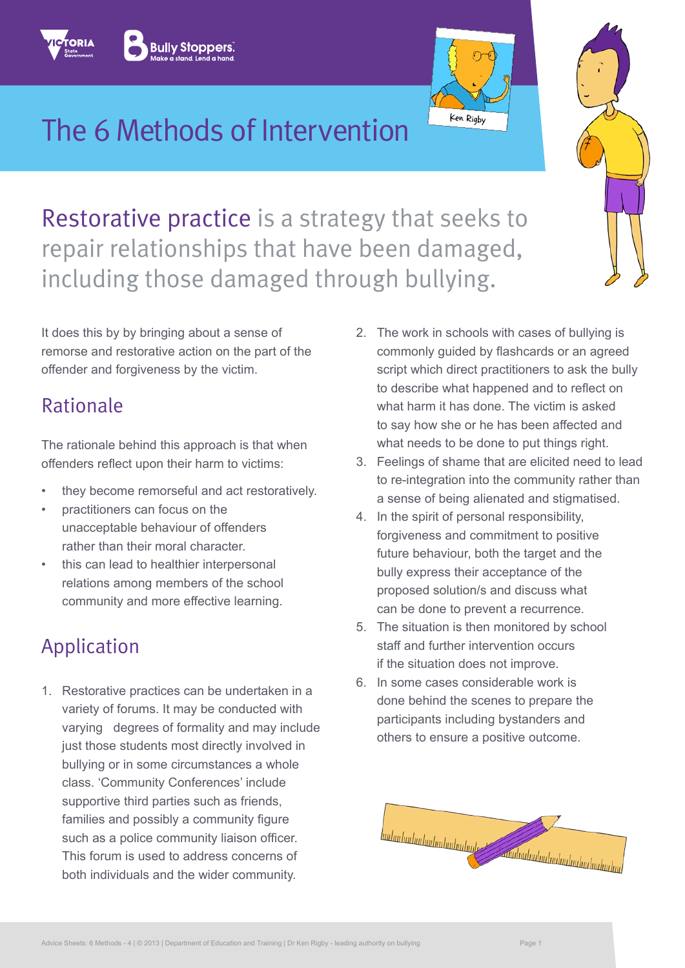# The 6 Methods of Intervention

Restorative practice is a strategy that seeks to repair relationships that have been damaged, including those damaged through bullying.

It does this by by bringing about a sense of remorse and restorative action on the part of the offender and forgiveness by the victim.

#### Rationale

The rationale behind this approach is that when offenders reflect upon their harm to victims:

- they become remorseful and act restoratively.
- practitioners can focus on the unacceptable behaviour of offenders rather than their moral character.
- this can lead to healthier interpersonal relations among members of the school community and more effective learning.

## Application

1. Restorative practices can be undertaken in a variety of forums. It may be conducted with varying degrees of formality and may include just those students most directly involved in bullying or in some circumstances a whole class. 'Community Conferences' include supportive third parties such as friends, families and possibly a community figure such as a police community liaison officer. This forum is used to address concerns of both individuals and the wider community.

2. The work in schools with cases of bullying is commonly guided by flashcards or an agreed script which direct practitioners to ask the bully to describe what happened and to reflect on what harm it has done. The victim is asked to say how she or he has been affected and what needs to be done to put things right.

Ken Rigby

- 3. Feelings of shame that are elicited need to lead to re-integration into the community rather than a sense of being alienated and stigmatised.
- 4. In the spirit of personal responsibility, forgiveness and commitment to positive future behaviour, both the target and the bully express their acceptance of the proposed solution/s and discuss what can be done to prevent a recurrence.
- 5. The situation is then monitored by school staff and further intervention occurs if the situation does not improve.
- 6. In some cases considerable work is done behind the scenes to prepare the participants including bystanders and others to ensure a positive outcome.